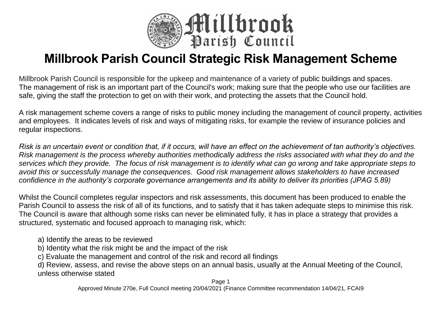

# **Millbrook Parish Council Strategic Risk Management Scheme**

Millbrook Parish Council is responsible for the upkeep and maintenance of a variety of public buildings and spaces. The management of risk is an important part of the Council's work; making sure that the people who use our facilities are safe, giving the staff the protection to get on with their work, and protecting the assets that the Council hold.

A risk management scheme covers a range of risks to public money including the management of council property, activities and employees. It indicates levels of risk and ways of mitigating risks, for example the review of insurance policies and regular inspections.

*Risk is an uncertain event or condition that, if it occurs, will have an effect on the achievement of tan authority's objectives. Risk management is the process whereby authorities methodically address the risks associated with what they do and the services which they provide. The focus of risk management is to identify what can go wrong and take appropriate steps to avoid this or successfully manage the consequences. Good risk management allows stakeholders to have increased confidience in the authority's corporate governance arrangements and its ability to deliver its priorities (JPAG 5.89)*

Whilst the Council completes regular inspectors and risk assessments, this document has been produced to enable the Parish Council to assess the risk of all of its functions, and to satisfy that it has taken adequate steps to minimise this risk. The Council is aware that although some risks can never be eliminated fully, it has in place a strategy that provides a structured, systematic and focused approach to managing risk, which:

a) Identify the areas to be reviewed

b) Identity what the risk might be and the impact of the risk

c) Evaluate the management and control of the risk and record all findings

d) Review, assess, and revise the above steps on an annual basis, usually at the Annual Meeting of the Council, unless otherwise stated

Page 1 Approved Minute 270e, Full Council meeting 20/04/2021 (Finance Committee recommendation 14/04/21, FCAI9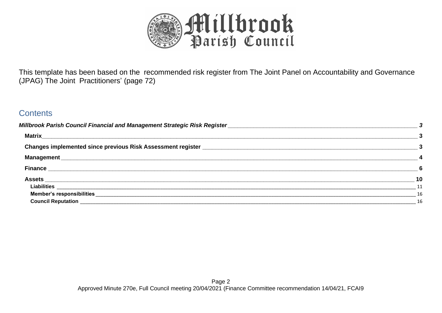

This template has been based on the recommended risk register from The Joint Panel on Accountability and Governance (JPAG) The Joint Practitioners' (page 72)

## **Contents**

| Matrix<br><u> 1989 - Jan James James James James James James James James James James James James James James James James J</u> |           |
|--------------------------------------------------------------------------------------------------------------------------------|-----------|
| Changes implemented since previous Risk Assessment register ____________________                                               |           |
|                                                                                                                                |           |
|                                                                                                                                | 6         |
|                                                                                                                                | 10        |
|                                                                                                                                | $\sim$ 11 |
|                                                                                                                                | - 16      |
|                                                                                                                                | 16        |
|                                                                                                                                |           |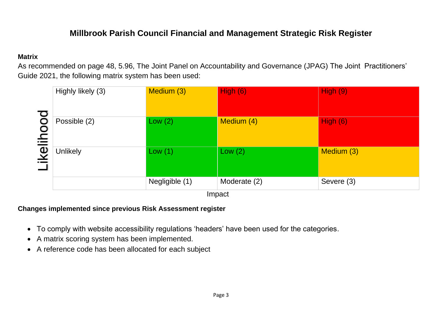## **Millbrook Parish Council Financial and Management Strategic Risk Register**

#### <span id="page-2-1"></span><span id="page-2-0"></span>**Matrix**

As recommended on page 48, 5.96, The Joint Panel on Accountability and Governance (JPAG) The Joint Practitioners' Guide 2021, the following matrix system has been used:

|                  | Highly likely (3)                                                                             | Medium (3)     | High(6)      | High(9)    |  |  |  |  |  |
|------------------|-----------------------------------------------------------------------------------------------|----------------|--------------|------------|--|--|--|--|--|
|                  | Possible (2)                                                                                  | Low $(2)$      | Medium (4)   | High(6)    |  |  |  |  |  |
| <b>ikelihood</b> |                                                                                               |                |              |            |  |  |  |  |  |
|                  | <b>Unlikely</b>                                                                               | Low(1)         | Low $(2)$    | Medium (3) |  |  |  |  |  |
|                  |                                                                                               | Negligible (1) | Moderate (2) | Severe (3) |  |  |  |  |  |
|                  |                                                                                               |                | Impact       |            |  |  |  |  |  |
|                  | <b>Changes implemented since previous Risk Assessment register</b>                            |                |              |            |  |  |  |  |  |
|                  | To comply with website accessibility regulations 'headers' have been used for the categories. |                |              |            |  |  |  |  |  |
| $\bullet$        | A matrix scoring system has been implemented.                                                 |                |              |            |  |  |  |  |  |
|                  | • A reference code has been allocated for each subject                                        |                |              |            |  |  |  |  |  |

#### <span id="page-2-2"></span>**Changes implemented since previous Risk Assessment register**

- To comply with website accessibility regulations 'headers' have been used for the categories.
- A matrix scoring system has been implemented.
-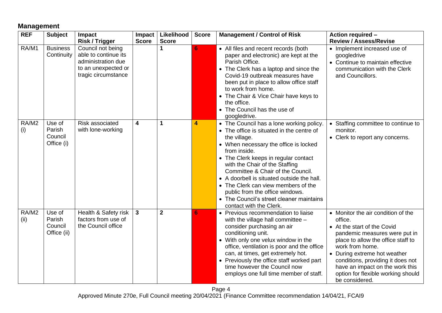### <span id="page-3-0"></span>**Management**

| <b>REF</b>    | <b>Subject</b>                             | Impact                                                                                                        | Impact       | Likelihood   | <b>Score</b> | <b>Management / Control of Risk</b>                                                                                                                                                                                                                                                                                                                                                                                                                                          | Action required -                                                                                                                                                                                                                                                                                                                      |
|---------------|--------------------------------------------|---------------------------------------------------------------------------------------------------------------|--------------|--------------|--------------|------------------------------------------------------------------------------------------------------------------------------------------------------------------------------------------------------------------------------------------------------------------------------------------------------------------------------------------------------------------------------------------------------------------------------------------------------------------------------|----------------------------------------------------------------------------------------------------------------------------------------------------------------------------------------------------------------------------------------------------------------------------------------------------------------------------------------|
|               |                                            | <b>Risk / Trigger</b>                                                                                         | <b>Score</b> | <b>Score</b> |              |                                                                                                                                                                                                                                                                                                                                                                                                                                                                              | <b>Review / Assess/Revise</b>                                                                                                                                                                                                                                                                                                          |
| RA/M1         | <b>Business</b><br>Continuity              | Council not being<br>able to continue its<br>administration due<br>to an unexpected or<br>tragic circumstance |              |              | 6            | • All files and recent records (both<br>paper and electronic) are kept at the<br>Parish Office.<br>• The Clerk has a laptop and since the<br>Covid-19 outbreak measures have<br>been put in place to allow office staff<br>to work from home.<br>• The Chair & Vice Chair have keys to<br>the office.<br>• The Council has the use of<br>googledrive.                                                                                                                        | • Implement increased use of<br>googledrive<br>• Continue to maintain effective<br>communication with the Clerk<br>and Councillors.                                                                                                                                                                                                    |
| RA/M2<br>(i)  | Use of<br>Parish<br>Council<br>Office (i)  | Risk associated<br>with lone-working                                                                          | 4            | 1            | 4            | • The Council has a lone working policy.<br>• The office is situated in the centre of<br>the village.<br>• When necessary the office is locked<br>from inside.<br>• The Clerk keeps in regular contact<br>with the Chair of the Staffing<br>Committee & Chair of the Council.<br>• A doorbell is situated outside the hall.<br>• The Clerk can view members of the<br>public from the office windows.<br>• The Council's street cleaner maintains<br>contact with the Clerk. | • Staffing committee to continue to<br>monitor.<br>• Clerk to report any concerns.                                                                                                                                                                                                                                                     |
| RA/M2<br>(ii) | Use of<br>Parish<br>Council<br>Office (ii) | Health & Safety risk<br>factors from use of<br>the Council office                                             | $\mathbf{3}$ | $\mathbf{2}$ | 6            | • Previous recommendation to liaise<br>with the village hall committee $-$<br>consider purchasing an air<br>conditioning unit.<br>• With only one velux window in the<br>office, ventilation is poor and the office<br>can, at times, get extremely hot.<br>• Previously the office staff worked part<br>time however the Council now<br>employs one full time member of staff.                                                                                              | • Monitor the air condition of the<br>office.<br>• At the start of the Covid<br>pandemic measures were put in<br>place to allow the office staff to<br>work from home.<br>• During extreme hot weather<br>conditions, providing it does not<br>have an impact on the work this<br>option for flexible working should<br>be considered. |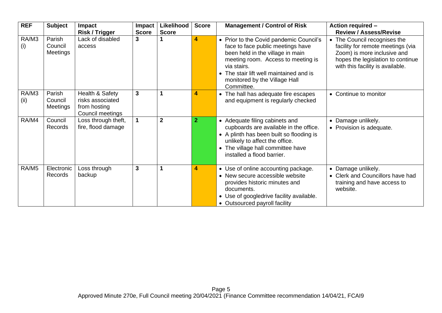| <b>REF</b>    | <b>Subject</b>                       | Impact<br><b>Risk / Trigger</b>                                         | <b>Impact</b><br><b>Score</b> | Likelihood<br><b>Score</b> | <b>Score</b>            | <b>Management / Control of Risk</b>                                                                                                                                                                                                                             | <b>Action required -</b><br><b>Review / Assess/Revise</b>                                                                                                                 |
|---------------|--------------------------------------|-------------------------------------------------------------------------|-------------------------------|----------------------------|-------------------------|-----------------------------------------------------------------------------------------------------------------------------------------------------------------------------------------------------------------------------------------------------------------|---------------------------------------------------------------------------------------------------------------------------------------------------------------------------|
| RA/M3<br>(i)  | Parish<br>Council<br>Meetings        | Lack of disabled<br>access                                              | 3                             |                            | $\overline{\mathbf{4}}$ | • Prior to the Covid pandemic Council's<br>face to face public meetings have<br>been held in the village in main<br>meeting room. Access to meeting is<br>via stairs.<br>• The stair lift well maintained and is<br>monitored by the Village Hall<br>Committee. | • The Council recognises the<br>facility for remote meetings (via<br>Zoom) is more inclusive and<br>hopes the legislation to continue<br>with this facility is available. |
| RA/M3<br>(ii) | Parish<br>Council<br><b>Meetings</b> | Health & Safety<br>risks associated<br>from hosting<br>Council meetings | 3                             | 1                          | 4                       | • The hall has adequate fire escapes<br>and equipment is regularly checked                                                                                                                                                                                      | • Continue to monitor                                                                                                                                                     |
| RA/M4         | Council<br>Records                   | Loss through theft,<br>fire, flood damage                               | $\blacktriangleleft$          | $\mathbf 2$                | $\overline{2}$          | Adequate filing cabinets and<br>$\bullet$<br>cupboards are available in the office.<br>• A plinth has been built so flooding is<br>unlikely to affect the office.<br>The village hall committee have<br>installed a flood barrier.                              | • Damage unlikely.<br>• Provision is adequate.                                                                                                                            |
| RA/M5         | Electronic<br>Records                | Loss through<br>backup                                                  | 3                             | 1                          | 4                       | • Use of online accounting package.<br>• New secure accessible website<br>provides historic minutes and<br>documents.<br>Use of googledrive facility available.<br>$\bullet$<br>• Outsourced payroll facility                                                   | • Damage unlikely.<br>• Clerk and Councillors have had<br>training and have access to<br>website.                                                                         |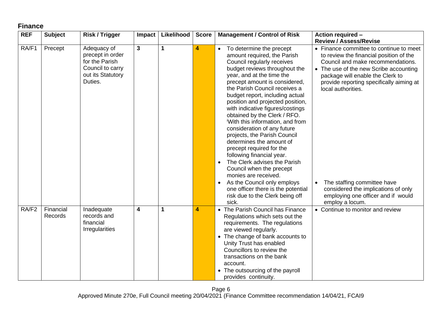## <span id="page-5-0"></span>**Finance**

| <b>REF</b>        | <b>Subject</b>       | <b>Risk / Trigger</b>                                                                                 | Impact                  | Likelihood  | <b>Score</b> | <b>Management / Control of Risk</b>                                                                                                                                                                                                                                                                                                                                                                                                                                                                                                                                                                                                                                                                                                                                       | <b>Action required -</b>                                                                                                                                                                                                                                                                                                                                                                               |
|-------------------|----------------------|-------------------------------------------------------------------------------------------------------|-------------------------|-------------|--------------|---------------------------------------------------------------------------------------------------------------------------------------------------------------------------------------------------------------------------------------------------------------------------------------------------------------------------------------------------------------------------------------------------------------------------------------------------------------------------------------------------------------------------------------------------------------------------------------------------------------------------------------------------------------------------------------------------------------------------------------------------------------------------|--------------------------------------------------------------------------------------------------------------------------------------------------------------------------------------------------------------------------------------------------------------------------------------------------------------------------------------------------------------------------------------------------------|
|                   |                      |                                                                                                       |                         |             |              |                                                                                                                                                                                                                                                                                                                                                                                                                                                                                                                                                                                                                                                                                                                                                                           | <b>Review / Assess/Revise</b>                                                                                                                                                                                                                                                                                                                                                                          |
| RA/F1             | Precept              | Adequacy of<br>precept in order<br>for the Parish<br>Council to carry<br>out its Statutory<br>Duties. | $\mathbf{3}$            | $\mathbf 1$ | 4            | To determine the precept<br>$\bullet$<br>amount required, the Parish<br>Council regularly receives<br>budget reviews throughout the<br>year, and at the time the<br>precept amount is considered,<br>the Parish Council receives a<br>budget report, including actual<br>position and projected position,<br>with indicative figures/costings<br>obtained by the Clerk / RFO.<br>With this information, and from<br>consideration of any future<br>projects, the Parish Council<br>determines the amount of<br>precept required for the<br>following financial year.<br>The Clerk advises the Parish<br>Council when the precept<br>monies are received.<br>As the Council only employs<br>one officer there is the potential<br>risk due to the Clerk being off<br>sick. | • Finance committee to continue to meet<br>to review the financial position of the<br>Council and make recommendations.<br>• The use of the new Scribe accounting<br>package will enable the Clerk to<br>provide reporting specifically aiming at<br>local authorities.<br>The staffing committee have<br>considered the implications of only<br>employing one officer and if would<br>employ a locum. |
| RA/F <sub>2</sub> | Financial<br>Records | Inadequate<br>records and<br>financial<br>Irregularities                                              | $\overline{\mathbf{4}}$ | 1           | 4            | • The Parish Council has Finance<br>Regulations which sets out the<br>requirements. The regulations<br>are viewed regularly.<br>• The change of bank accounts to<br>Unity Trust has enabled<br>Councillors to review the<br>transactions on the bank<br>account.<br>• The outsourcing of the payroll<br>provides continuity.                                                                                                                                                                                                                                                                                                                                                                                                                                              | • Continue to monitor and review                                                                                                                                                                                                                                                                                                                                                                       |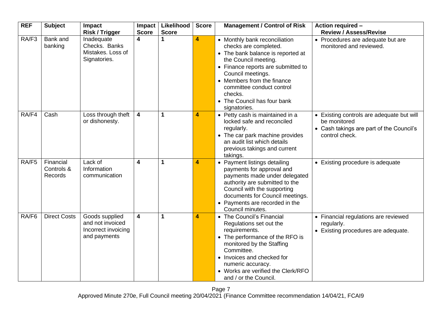| <b>REF</b> | <b>Subject</b>                     | <b>Impact</b><br><b>Risk / Trigger</b>                                    | Impact<br><b>Score</b>  | Likelihood<br><b>Score</b> | <b>Score</b>            | <b>Management / Control of Risk</b>                                                                                                                                                                                                                                                                 | <b>Action required -</b><br><b>Review / Assess/Revise</b>                                                               |
|------------|------------------------------------|---------------------------------------------------------------------------|-------------------------|----------------------------|-------------------------|-----------------------------------------------------------------------------------------------------------------------------------------------------------------------------------------------------------------------------------------------------------------------------------------------------|-------------------------------------------------------------------------------------------------------------------------|
| RA/F3      | Bank and<br>banking                | Inadequate<br>Checks. Banks<br>Mistakes. Loss of<br>Signatories.          | 4                       | 1                          | $\overline{\mathbf{4}}$ | • Monthly bank reconciliation<br>checks are completed.<br>• The bank balance is reported at<br>the Council meeting.<br>• Finance reports are submitted to<br>Council meetings.<br>• Members from the finance<br>committee conduct control<br>checks.<br>• The Council has four bank<br>signatories. | • Procedures are adequate but are<br>monitored and reviewed.                                                            |
| RA/F4      | Cash                               | Loss through theft<br>or dishonesty.                                      | $\overline{\mathbf{4}}$ | $\mathbf{1}$               | $\overline{4}$          | • Petty cash is maintained in a<br>locked safe and reconciled<br>regularly.<br>• The car park machine provides<br>an audit list which details<br>previous takings and current<br>takings.                                                                                                           | • Existing controls are adequate but will<br>be monitored<br>• Cash takings are part of the Council's<br>control check. |
| RA/F5      | Financial<br>Controls &<br>Records | Lack of<br>Information<br>communication                                   | $\overline{\mathbf{4}}$ | 1                          | 4                       | • Payment listings detailing<br>payments for approval and<br>payments made under delegated<br>authority are submitted to the<br>Council with the supporting<br>documents for Council meetings.<br>• Payments are recorded in the<br>Council minutes.                                                | • Existing procedure is adequate                                                                                        |
| RA/F6      | <b>Direct Costs</b>                | Goods supplied<br>and not invoiced<br>Incorrect invoicing<br>and payments | 4                       | 1                          | 4                       | • The Council's Financial<br>Regulations set out the<br>requirements.<br>• The performance of the RFO is<br>monitored by the Staffing<br>Committee.<br>• Invoices and checked for<br>numeric accuracy.<br>• Works are verified the Clerk/RFO<br>and / or the Council.                               | • Financial regulations are reviewed<br>regularly.<br>• Existing procedures are adequate.                               |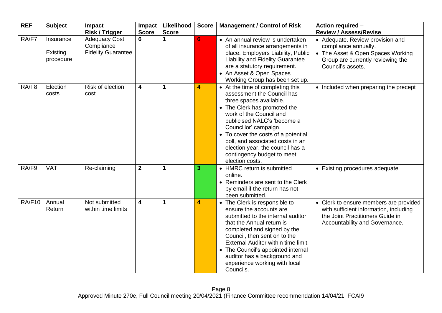| <b>REF</b> | <b>Subject</b>                     | Impact<br><b>Risk / Trigger</b>                                 | Impact<br><b>Score</b> | Likelihood<br><b>Score</b> | <b>Score</b> | <b>Management / Control of Risk</b>                                                                                                                                                                                                                                                                                                                                          | <b>Action required -</b><br><b>Review / Assess/Revise</b>                                                                                               |
|------------|------------------------------------|-----------------------------------------------------------------|------------------------|----------------------------|--------------|------------------------------------------------------------------------------------------------------------------------------------------------------------------------------------------------------------------------------------------------------------------------------------------------------------------------------------------------------------------------------|---------------------------------------------------------------------------------------------------------------------------------------------------------|
| RA/F7      | Insurance<br>Existing<br>procedure | <b>Adequacy Cost</b><br>Compliance<br><b>Fidelity Guarantee</b> | 6                      |                            | 6            | • An annual review is undertaken<br>of all insurance arrangements in<br>place. Employers Liability, Public<br>Liability and Fidelity Guarantee<br>are a statutory requirement.<br>• An Asset & Open Spaces<br>Working Group has been set up.                                                                                                                                 | • Adequate. Review provision and<br>compliance annually.<br>• The Asset & Open Spaces Working<br>Group are currently reviewing the<br>Council's assets. |
| RA/F8      | Election<br>costs                  | Risk of election<br>cost                                        | 4                      | 1                          | 4            | • At the time of completing this<br>assessment the Council has<br>three spaces available.<br>• The Clerk has promoted the<br>work of the Council and<br>publicised NALC's 'become a<br>Councillor' campaign.<br>• To cover the costs of a potential<br>poll, and associated costs in an<br>election year, the council has a<br>contingency budget to meet<br>election costs. | • Included when preparing the precept                                                                                                                   |
| RA/F9      | <b>VAT</b>                         | Re-claiming                                                     | $\boldsymbol{2}$       | 1                          | 3            | • HMRC return is submitted<br>online.<br>• Reminders are sent to the Clerk<br>by email if the return has not<br>been submitted.                                                                                                                                                                                                                                              | • Existing procedures adequate                                                                                                                          |
| RA/F10     | Annual<br>Return                   | Not submitted<br>within time limits                             | 4                      | 1                          | 4            | • The Clerk is responsible to<br>ensure the accounts are<br>submitted to the internal auditor,<br>that the Annual return is<br>completed and signed by the<br>Council, then sent on to the<br>External Auditor within time limit.<br>• The Council's appointed internal<br>auditor has a background and<br>experience working with local<br>Councils.                        | • Clerk to ensure members are provided<br>with sufficient information, including<br>the Joint Practitioners Guide in<br>Accountability and Governance.  |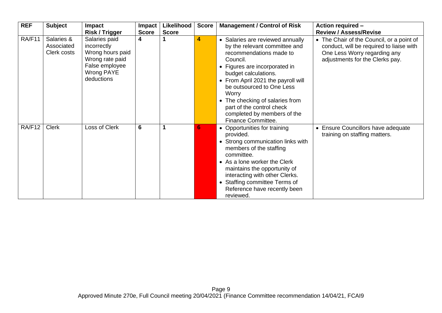| <b>REF</b> | <b>Subject</b>                          | <b>Impact</b><br><b>Risk / Trigger</b>                                                                            | <b>Impact</b><br><b>Score</b> | Likelihood<br><b>Score</b> | <b>Score</b> | <b>Management / Control of Risk</b>                                                                                                                                                                                                                                                                                                                                | <b>Action required -</b><br><b>Review / Assess/Revise</b>                                                                                                |
|------------|-----------------------------------------|-------------------------------------------------------------------------------------------------------------------|-------------------------------|----------------------------|--------------|--------------------------------------------------------------------------------------------------------------------------------------------------------------------------------------------------------------------------------------------------------------------------------------------------------------------------------------------------------------------|----------------------------------------------------------------------------------------------------------------------------------------------------------|
| RA/F11     | Salaries &<br>Associated<br>Clerk costs | Salaries paid<br>incorrectly<br>Wrong hours paid<br>Wrong rate paid<br>False employee<br>Wrong PAYE<br>deductions | $\overline{\mathbf{4}}$       |                            | 4            | • Salaries are reviewed annually<br>by the relevant committee and<br>recommendations made to<br>Council.<br>• Figures are incorporated in<br>budget calculations.<br>• From April 2021 the payroll will<br>be outsourced to One Less<br>Worry<br>• The checking of salaries from<br>part of the control check<br>completed by members of the<br>Finance Committee. | • The Chair of the Council, or a point of<br>conduct, will be required to liaise with<br>One Less Worry regarding any<br>adjustments for the Clerks pay. |
| RA/F12     | <b>Clerk</b>                            | Loss of Clerk                                                                                                     | $6\phantom{1}6$               |                            | 6.           | • Opportunities for training<br>provided.<br>• Strong communication links with<br>members of the staffing<br>committee.<br>• As a lone worker the Clerk<br>maintains the opportunity of<br>interacting with other Clerks.<br>• Staffing committee Terms of<br>Reference have recently been<br>reviewed.                                                            | • Ensure Councillors have adequate<br>training on staffing matters.                                                                                      |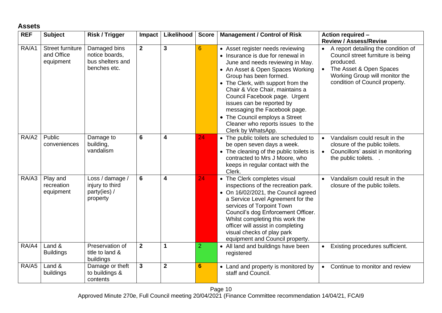### <span id="page-9-0"></span>**Assets**

| <b>REF</b> | <b>Subject</b>                                     | <b>Risk / Trigger</b>                                              | Impact         | Likelihood              | <b>Score</b>    | <b>Management / Control of Risk</b>                                                                                                                                                                                                                                                                                                                                                                                                         | Action required -                                                                                                                                                                                                                  |
|------------|----------------------------------------------------|--------------------------------------------------------------------|----------------|-------------------------|-----------------|---------------------------------------------------------------------------------------------------------------------------------------------------------------------------------------------------------------------------------------------------------------------------------------------------------------------------------------------------------------------------------------------------------------------------------------------|------------------------------------------------------------------------------------------------------------------------------------------------------------------------------------------------------------------------------------|
| RA/A1      | <b>Street furniture</b><br>and Office<br>equipment | Damaged bins<br>notice boards,<br>bus shelters and<br>benches etc. | $\overline{2}$ | $\mathbf{3}$            | $6\phantom{1}6$ | • Asset register needs reviewing<br>• Insurance is due for renewal in<br>June and needs reviewing in May.<br>• An Asset & Open Spaces Working<br>Group has been formed.<br>• The Clerk, with support from the<br>Chair & Vice Chair, maintains a<br>Council Facebook page. Urgent<br>issues can be reported by<br>messaging the Facebook page.<br>• The Council employs a Street<br>Cleaner who reports issues to the<br>Clerk by WhatsApp. | <b>Review / Assess/Revise</b><br>A report detailing the condition of<br>Council street furniture is being<br>produced.<br>The Asset & Open Spaces<br>$\bullet$<br>Working Group will monitor the<br>condition of Council property. |
| RA/A2      | Public<br>conveniences                             | Damage to<br>building,<br>vandalism                                | 6              | $\overline{\mathbf{4}}$ | 24              | • The public toilets are scheduled to<br>be open seven days a week.<br>• The cleaning of the public toilets is<br>contracted to Mrs J Moore, who<br>keeps in regular contact with the<br>Clerk.                                                                                                                                                                                                                                             | Vandalism could result in the<br>$\bullet$<br>closure of the public toilets.<br>Councillors' assist in monitoring<br>$\bullet$<br>the public toilets. .                                                                            |
| RA/A3      | Play and<br>recreation<br>equipment                | Loss / damage /<br>injury to third<br>party(ies) /<br>property     | 6              | $\overline{\mathbf{4}}$ | 24              | • The Clerk completes visual<br>inspections of the recreation park.<br>• On 16/02/2021, the Council agreed<br>a Service Level Agreement for the<br>services of Torpoint Town<br>Council's dog Enforcement Officer.<br>Whilst completing this work the<br>officer will assist in completing<br>visual checks of play park<br>equipment and Council property.                                                                                 | Vandalism could result in the<br>$\bullet$<br>closure of the public toilets.                                                                                                                                                       |
| RA/A4      | Land &<br><b>Buildings</b>                         | Preservation of<br>title to land &<br>buildings                    | $\mathbf{2}$   | $\mathbf 1$             | $\overline{2}$  | • All land and buildings have been<br>registered                                                                                                                                                                                                                                                                                                                                                                                            | Existing procedures sufficient.<br>$\bullet$                                                                                                                                                                                       |
| RA/A5      | Land &<br>buildings                                | Damage or theft<br>to buildings &<br>contents                      | $\mathbf{3}$   | $\mathbf{2}$            | $6\phantom{1}$  | • Land and property is monitored by<br>staff and Council.                                                                                                                                                                                                                                                                                                                                                                                   | Continue to monitor and review<br>$\bullet$                                                                                                                                                                                        |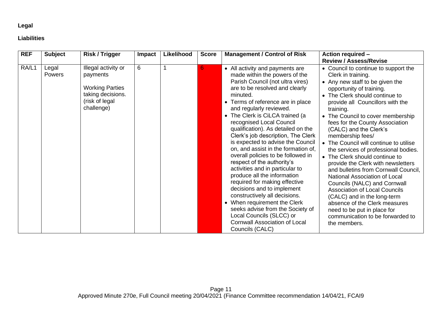#### **Legal**

#### <span id="page-10-0"></span>**Liabilities**

| <b>REF</b> | <b>Subject</b>         | <b>Risk / Trigger</b>                                                                                          | <b>Impact</b> | Likelihood | <b>Score</b> | <b>Management / Control of Risk</b>                                                                                                                                                                                                                                                                                                                                                                                                                                                                                                                                                                                                                                                                                                                                                                                                        | Action required -                                                                                                                                                                                                                                                                                                                                                                                                                                                                                                                                                                                                                                                                                                                                                                                                                            |
|------------|------------------------|----------------------------------------------------------------------------------------------------------------|---------------|------------|--------------|--------------------------------------------------------------------------------------------------------------------------------------------------------------------------------------------------------------------------------------------------------------------------------------------------------------------------------------------------------------------------------------------------------------------------------------------------------------------------------------------------------------------------------------------------------------------------------------------------------------------------------------------------------------------------------------------------------------------------------------------------------------------------------------------------------------------------------------------|----------------------------------------------------------------------------------------------------------------------------------------------------------------------------------------------------------------------------------------------------------------------------------------------------------------------------------------------------------------------------------------------------------------------------------------------------------------------------------------------------------------------------------------------------------------------------------------------------------------------------------------------------------------------------------------------------------------------------------------------------------------------------------------------------------------------------------------------|
| RA/L1      | Legal<br><b>Powers</b> | Illegal activity or<br>payments<br><b>Working Parties</b><br>taking decisions.<br>(risk of legal<br>challenge) | 6             |            | 6            | • All activity and payments are<br>made within the powers of the<br>Parish Council (not ultra vires)<br>are to be resolved and clearly<br>minuted.<br>• Terms of reference are in place<br>and regularly reviewed.<br>• The Clerk is CiLCA trained (a<br>recognised Local Council<br>qualification). As detailed on the<br>Clerk's job description, The Clerk<br>is expected to advise the Council<br>on, and assist in the formation of,<br>overall policies to be followed in<br>respect of the authority's<br>activities and in particular to<br>produce all the information<br>required for making effective<br>decisions and to implement<br>constructively all decisions.<br>• When requirement the Clerk<br>seeks advise from the Society of<br>Local Councils (SLCC) or<br><b>Cornwall Association of Local</b><br>Councils (CALC) | <b>Review / Assess/Revise</b><br>• Council to continue to support the<br>Clerk in training.<br>• Any new staff to be given the<br>opportunity of training.<br>The Clerk should continue to<br>$\bullet$<br>provide all Councillors with the<br>training.<br>• The Council to cover membership<br>fees for the County Association<br>(CALC) and the Clerk's<br>membership fees/<br>• The Council will continue to utilise<br>the services of professional bodies.<br>• The Clerk should continue to<br>provide the Clerk with newsletters<br>and bulletins from Cornwall Council,<br>National Association of Local<br>Councils (NALC) and Cornwall<br><b>Association of Local Councils</b><br>(CALC) and in the long-term<br>absence of the Clerk measures<br>need to be put in place for<br>communication to be forwarded to<br>the members. |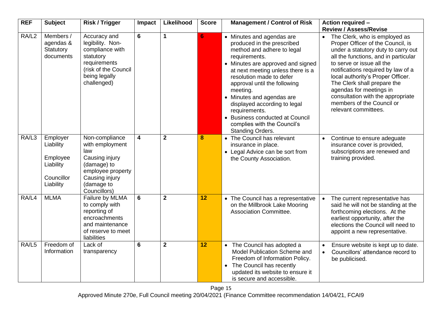| <b>REF</b>        | <b>Subject</b>                                                            | <b>Risk / Trigger</b>                                                                                                                          | Impact                  | Likelihood     | <b>Score</b> | <b>Management / Control of Risk</b>                                                                                                                                                                                                                                                                                                                                                                                          | <b>Action required -</b><br><b>Review / Assess/Revise</b>                                                                                                                                                                                                                                                                                                                                                     |
|-------------------|---------------------------------------------------------------------------|------------------------------------------------------------------------------------------------------------------------------------------------|-------------------------|----------------|--------------|------------------------------------------------------------------------------------------------------------------------------------------------------------------------------------------------------------------------------------------------------------------------------------------------------------------------------------------------------------------------------------------------------------------------------|---------------------------------------------------------------------------------------------------------------------------------------------------------------------------------------------------------------------------------------------------------------------------------------------------------------------------------------------------------------------------------------------------------------|
| RA/L <sub>2</sub> | Members /<br>agendas &<br>Statutory<br>documents                          | Accuracy and<br>legibility. Non-<br>compliance with<br>statutory<br>requirements<br>(risk of the Council<br>being legally<br>challenged)       | $6\phantom{1}$          | 1              | 6            | • Minutes and agendas are<br>produced in the prescribed<br>method and adhere to legal<br>requirements.<br>• Minutes are approved and signed<br>at next meeting unless there is a<br>resolution made to defer<br>approval until the following<br>meeting.<br>• Minutes and agendas are<br>displayed according to legal<br>requirements.<br>• Business conducted at Council<br>complies with the Council's<br>Standing Orders. | The Clerk, who is employed as<br>Proper Officer of the Council, is<br>under a statutory duty to carry out<br>all the functions, and in particular<br>to serve or issue all the<br>notifications required by law of a<br>local authority's Proper Officer.<br>The Clerk shall prepare the<br>agendas for meetings in<br>consultation with the appropriate<br>members of the Council or<br>relevant committees. |
| RA/L3             | Employer<br>Liability<br>Employee<br>Liability<br>Councillor<br>Liability | Non-compliance<br>with employment<br>law<br>Causing injury<br>(damage) to<br>employee property<br>Causing injury<br>(damage to<br>Councillors) | $\overline{\mathbf{4}}$ | $\overline{2}$ | 8            | • The Council has relevant<br>insurance in place.<br>• Legal Advice can be sort from<br>the County Association.                                                                                                                                                                                                                                                                                                              | Continue to ensure adeguate<br>$\bullet$<br>insurance cover is provided,<br>subscriptions are renewed and<br>training provided.                                                                                                                                                                                                                                                                               |
| RA/L4             | <b>MLMA</b>                                                               | Failure by MLMA<br>to comply with<br>reporting of<br>encroachments<br>and maintenance<br>of reserve to meet<br>liabilities                     | 6                       | $\overline{2}$ | 12           | • The Council has a representative<br>on the Millbrook Lake Mooring<br><b>Association Committee.</b>                                                                                                                                                                                                                                                                                                                         | The current representative has<br>$\bullet$<br>said he will not be standing at the<br>forthcoming elections. At the<br>earliest opportunity, after the<br>elections the Council will need to<br>appoint a new representative.                                                                                                                                                                                 |
| RA/L5             | Freedom of<br>Information                                                 | Lack of<br>transparency                                                                                                                        | 6                       | $\mathbf{2}$   | 12           | • The Council has adopted a<br>Model Publication Scheme and<br>Freedom of Information Policy.<br>The Council has recently<br>$\bullet$<br>updated its website to ensure it<br>is secure and accessible.                                                                                                                                                                                                                      | Ensure website is kept up to date.<br>$\bullet$<br>Councillors' attendance record to<br>$\bullet$<br>be publicised.                                                                                                                                                                                                                                                                                           |

Page 15 Approved Minute 270e, Full Council meeting 20/04/2021 (Finance Committee recommendation 14/04/21, FCAI9